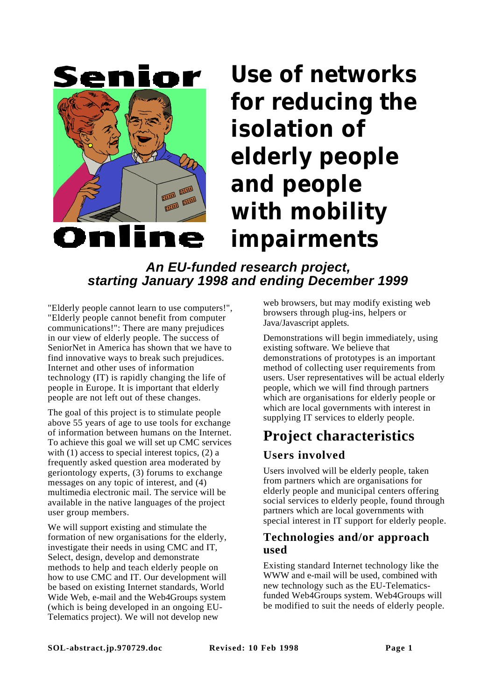

# **Use of networks for reducing the isolation of elderly people and people with mobility impairments**

# **An EU-funded research project, starting January 1998 and ending December 1999**

"Elderly people cannot learn to use computers!", "Elderly people cannot benefit from computer communications!": There are many prejudices in our view of elderly people. The success of SeniorNet in America has shown that we have to find innovative ways to break such prejudices. Internet and other uses of information technology (IT) is rapidly changing the life of people in Europe. It is important that elderly people are not left out of these changes.

The goal of this project is to stimulate people above 55 years of age to use tools for exchange of information between humans on the Internet. To achieve this goal we will set up CMC services with (1) access to special interest topics, (2) a frequently asked question area moderated by geriontology experts, (3) forums to exchange messages on any topic of interest, and (4) multimedia electronic mail. The service will be available in the native languages of the project user group members.

We will support existing and stimulate the formation of new organisations for the elderly, investigate their needs in using CMC and IT, Select, design, develop and demonstrate methods to help and teach elderly people on how to use CMC and IT. Our development will be based on existing Internet standards, World Wide Web, e-mail and the Web4Groups system (which is being developed in an ongoing EU-Telematics project). We will not develop new

web browsers, but may modify existing web browsers through plug-ins, helpers or Java/Javascript applets.

Demonstrations will begin immediately, using existing software. We believe that demonstrations of prototypes is an important method of collecting user requirements from users. User representatives will be actual elderly people, which we will find through partners which are organisations for elderly people or which are local governments with interest in supplying IT services to elderly people.

# **Project characteristics**

## **Users involved**

Users involved will be elderly people, taken from partners which are organisations for elderly people and municipal centers offering social services to elderly people, found through partners which are local governments with special interest in IT support for elderly people.

#### **Technologies and/or approach used**

Existing standard Internet technology like the WWW and e-mail will be used, combined with new technology such as the EU-Telematicsfunded Web4Groups system. Web4Groups will be modified to suit the needs of elderly people.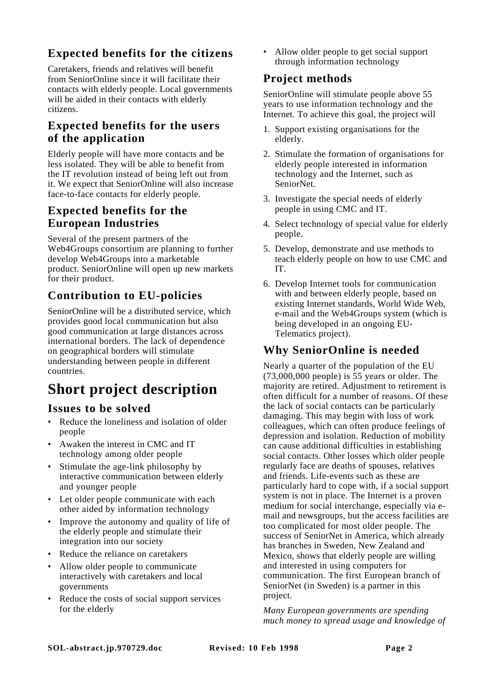# **Expected benefits for the citizens**

Caretakers, friends and relatives will benefit from SeniorOnline since it will facilitate their contacts with elderly people. Local governments will be aided in their contacts with elderly citizens.

#### **Expected benefits for the users of the application**

Elderly people will have more contacts and be less isolated. They will be able to benefit from the IT revolution instead of being left out from it. We expect that SeniorOnline will also increase face-to-face contacts for elderly people.

#### **Expected benefits for the European Industries**

Several of the present partners of the Web4Groups consortium are planning to further develop Web4Groups into a marketable product. SeniorOnline will open up new markets for their product.

# **Contribution to EU-policies**

SeniorOnline will be a distributed service, which provides good local communication but also good communication at large distances across international borders. The lack of dependence on geographical borders will stimulate understanding between people in different countries.

# **Short project description**

#### **Issues to be solved**

- Reduce the loneliness and isolation of older people
- Awaken the interest in CMC and IT technology among older people
- Stimulate the age-link philosophy by interactive communication between elderly and younger people
- Let older people communicate with each other aided by information technology
- Improve the autonomy and quality of life of the elderly people and stimulate their integration into our society
- Reduce the reliance on caretakers
- Allow older people to communicate interactively with caretakers and local governments
- Reduce the costs of social support services for the elderly

• Allow older people to get social support through information technology

## **Project methods**

SeniorOnline will stimulate people above 55 years to use information technology and the Internet. To achieve this goal, the project will

- 1. Support existing organisations for the elderly.
- 2. Stimulate the formation of organisations for elderly people interested in information technology and the Internet, such as SeniorNet.
- 3. Investigate the special needs of elderly people in using CMC and IT.
- 4. Select technology of special value for elderly people.
- 5. Develop, demonstrate and use methods to teach elderly people on how to use CMC and IT.
- 6. Develop Internet tools for communication with and between elderly people, based on existing Internet standards, World Wide Web, e-mail and the Web4Groups system (which is being developed in an ongoing EU-Telematics project).

## **Why SeniorOnline is needed**

Nearly a quarter of the population of the EU (73,000,000 people) is 55 years or older. The majority are retired. Adjustment to retirement is often difficult for a number of reasons. Of these the lack of social contacts can be particularly damaging. This may begin with loss of work colleagues, which can often produce feelings of depression and isolation. Reduction of mobility can cause additional difficulties in establishing social contacts. Other losses which older people regularly face are deaths of spouses, relatives and friends. Life-events such as these are particularly hard to cope with, if a social support system is not in place. The Internet is a proven medium for social interchange, especially via email and newsgroups, but the access facilities are too complicated for most older people. The success of SeniorNet in America, which already has branches in Sweden, New Zealand and Mexico, shows that elderly people are willing and interested in using computers for communication. The first European branch of SeniorNet (in Sweden) is a partner in this project.

*Many European governments are spending much money to spread usage and knowledge of*